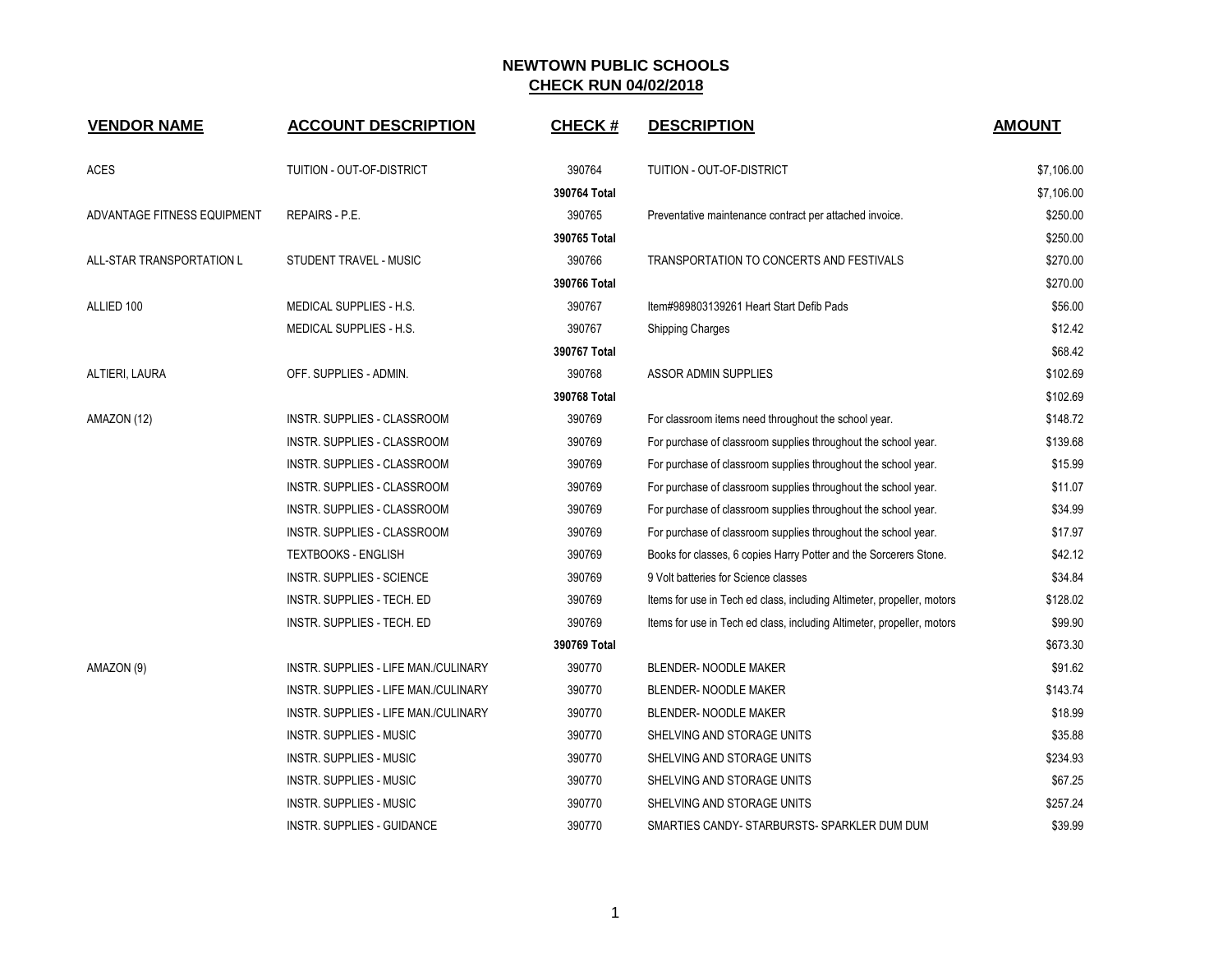| <b>VENDOR NAME</b>          | <b>ACCOUNT DESCRIPTION</b>           | <b>CHECK#</b>          | <b>DESCRIPTION</b>                                                     | <b>AMOUNT</b>            |
|-----------------------------|--------------------------------------|------------------------|------------------------------------------------------------------------|--------------------------|
|                             |                                      |                        |                                                                        |                          |
| <b>ACES</b>                 | TUITION - OUT-OF-DISTRICT            | 390764<br>390764 Total | TUITION - OUT-OF-DISTRICT                                              | \$7,106.00<br>\$7,106.00 |
| ADVANTAGE FITNESS EQUIPMENT | <b>REPAIRS - P.E.</b>                | 390765                 | Preventative maintenance contract per attached invoice.                | \$250.00                 |
|                             |                                      | 390765 Total           |                                                                        | \$250.00                 |
| ALL-STAR TRANSPORTATION L   | STUDENT TRAVEL - MUSIC               | 390766                 | TRANSPORTATION TO CONCERTS AND FESTIVALS                               | \$270.00                 |
|                             |                                      | 390766 Total           |                                                                        | \$270.00                 |
| ALLIED 100                  | MEDICAL SUPPLIES - H.S.              | 390767                 | Item#989803139261 Heart Start Defib Pads                               | \$56.00                  |
|                             | MEDICAL SUPPLIES - H.S.              | 390767                 | <b>Shipping Charges</b>                                                | \$12.42                  |
|                             |                                      | 390767 Total           |                                                                        | \$68.42                  |
| ALTIERI, LAURA              | OFF. SUPPLIES - ADMIN.               | 390768                 | <b>ASSOR ADMIN SUPPLIES</b>                                            | \$102.69                 |
|                             |                                      | 390768 Total           |                                                                        | \$102.69                 |
| AMAZON (12)                 | INSTR. SUPPLIES - CLASSROOM          | 390769                 | For classroom items need throughout the school year.                   | \$148.72                 |
|                             | INSTR. SUPPLIES - CLASSROOM          | 390769                 | For purchase of classroom supplies throughout the school year.         | \$139.68                 |
|                             | INSTR. SUPPLIES - CLASSROOM          | 390769                 | For purchase of classroom supplies throughout the school year.         | \$15.99                  |
|                             | INSTR. SUPPLIES - CLASSROOM          | 390769                 | For purchase of classroom supplies throughout the school year.         | \$11.07                  |
|                             | INSTR. SUPPLIES - CLASSROOM          | 390769                 | For purchase of classroom supplies throughout the school year.         | \$34.99                  |
|                             | INSTR. SUPPLIES - CLASSROOM          | 390769                 | For purchase of classroom supplies throughout the school year.         | \$17.97                  |
|                             | <b>TEXTBOOKS - ENGLISH</b>           | 390769                 | Books for classes, 6 copies Harry Potter and the Sorcerers Stone.      | \$42.12                  |
|                             | <b>INSTR. SUPPLIES - SCIENCE</b>     | 390769                 | 9 Volt batteries for Science classes                                   | \$34.84                  |
|                             | INSTR. SUPPLIES - TECH. ED           | 390769                 | Items for use in Tech ed class, including Altimeter, propeller, motors | \$128.02                 |
|                             | INSTR. SUPPLIES - TECH. ED           | 390769                 | Items for use in Tech ed class, including Altimeter, propeller, motors | \$99.90                  |
|                             |                                      | 390769 Total           |                                                                        | \$673.30                 |
| AMAZON (9)                  | INSTR. SUPPLIES - LIFE MAN./CULINARY | 390770                 | <b>BLENDER-NOODLE MAKER</b>                                            | \$91.62                  |
|                             | INSTR. SUPPLIES - LIFE MAN./CULINARY | 390770                 | BLENDER- NOODLE MAKER                                                  | \$143.74                 |
|                             | INSTR. SUPPLIES - LIFE MAN./CULINARY | 390770                 | BLENDER- NOODLE MAKER                                                  | \$18.99                  |
|                             | <b>INSTR. SUPPLIES - MUSIC</b>       | 390770                 | SHELVING AND STORAGE UNITS                                             | \$35.88                  |
|                             | <b>INSTR. SUPPLIES - MUSIC</b>       | 390770                 | SHELVING AND STORAGE UNITS                                             | \$234.93                 |
|                             | INSTR. SUPPLIES - MUSIC              | 390770                 | SHELVING AND STORAGE UNITS                                             | \$67.25                  |
|                             | <b>INSTR. SUPPLIES - MUSIC</b>       | 390770                 | SHELVING AND STORAGE UNITS                                             | \$257.24                 |
|                             | <b>INSTR. SUPPLIES - GUIDANCE</b>    | 390770                 | SMARTIES CANDY- STARBURSTS- SPARKLER DUM DUM                           | \$39.99                  |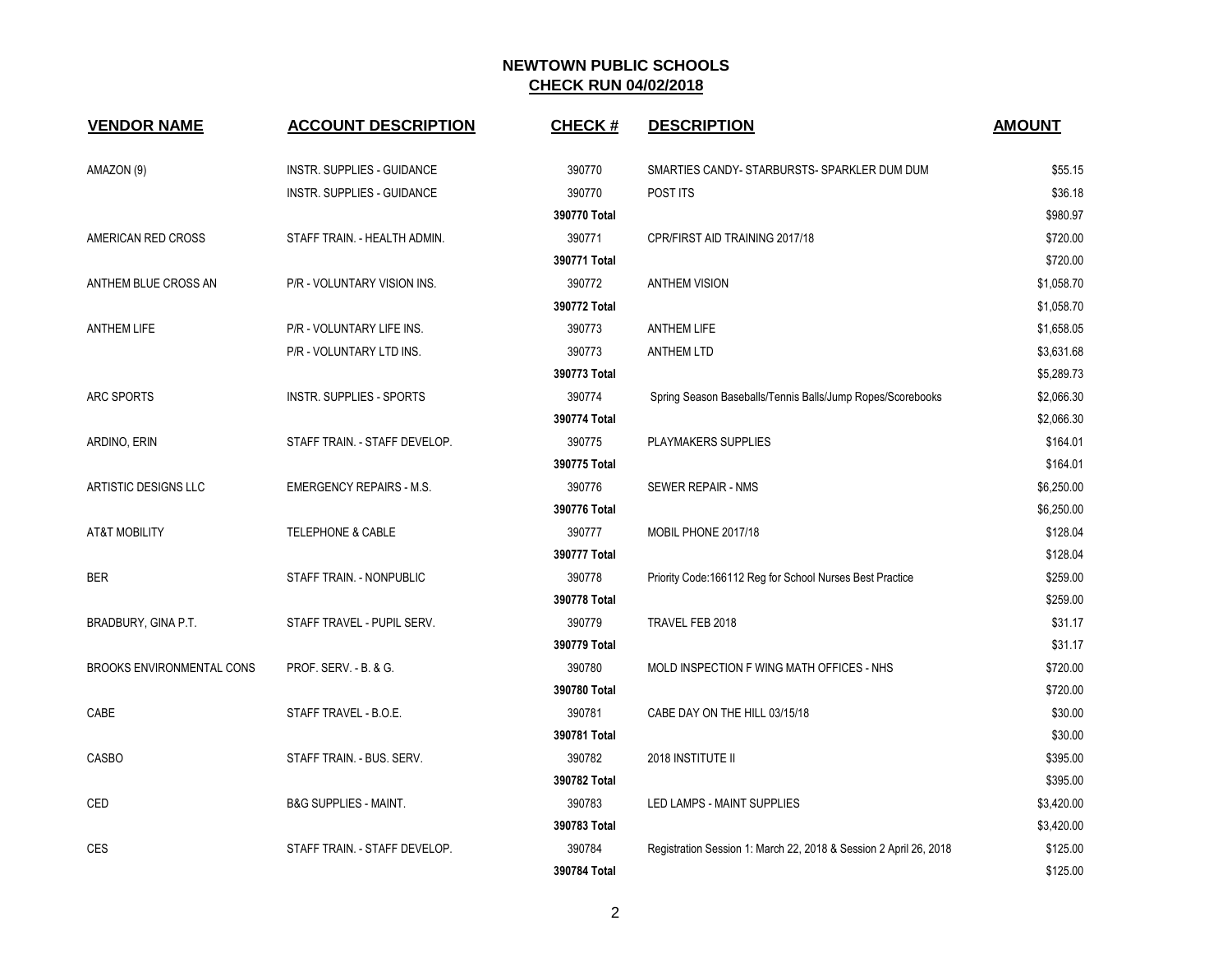| <b>VENDOR NAME</b>               | <b>ACCOUNT DESCRIPTION</b>       | <b>CHECK#</b> | <b>DESCRIPTION</b>                                                | <b>AMOUNT</b> |
|----------------------------------|----------------------------------|---------------|-------------------------------------------------------------------|---------------|
| AMAZON (9)                       | INSTR. SUPPLIES - GUIDANCE       | 390770        | SMARTIES CANDY- STARBURSTS- SPARKLER DUM DUM                      | \$55.15       |
|                                  | INSTR. SUPPLIES - GUIDANCE       | 390770        | POST ITS                                                          | \$36.18       |
|                                  |                                  | 390770 Total  |                                                                   | \$980.97      |
| AMERICAN RED CROSS               | STAFF TRAIN. - HEALTH ADMIN.     | 390771        | CPR/FIRST AID TRAINING 2017/18                                    | \$720.00      |
|                                  |                                  | 390771 Total  |                                                                   | \$720.00      |
| ANTHEM BLUE CROSS AN             | P/R - VOLUNTARY VISION INS.      | 390772        | <b>ANTHEM VISION</b>                                              | \$1,058.70    |
|                                  |                                  | 390772 Total  |                                                                   | \$1,058.70    |
| <b>ANTHEM LIFE</b>               | P/R - VOLUNTARY LIFE INS.        | 390773        | <b>ANTHEM LIFE</b>                                                | \$1,658.05    |
|                                  | P/R - VOLUNTARY LTD INS.         | 390773        | <b>ANTHEM LTD</b>                                                 | \$3,631.68    |
|                                  |                                  | 390773 Total  |                                                                   | \$5,289.73    |
| ARC SPORTS                       | <b>INSTR. SUPPLIES - SPORTS</b>  | 390774        | Spring Season Baseballs/Tennis Balls/Jump Ropes/Scorebooks        | \$2,066.30    |
|                                  |                                  | 390774 Total  |                                                                   | \$2,066.30    |
| ARDINO, ERIN                     | STAFF TRAIN. - STAFF DEVELOP.    | 390775        | <b>PLAYMAKERS SUPPLIES</b>                                        | \$164.01      |
|                                  |                                  | 390775 Total  |                                                                   | \$164.01      |
| ARTISTIC DESIGNS LLC             | <b>EMERGENCY REPAIRS - M.S.</b>  | 390776        | SEWER REPAIR - NMS                                                | \$6,250.00    |
|                                  |                                  | 390776 Total  |                                                                   | \$6,250.00    |
| <b>AT&amp;T MOBILITY</b>         | <b>TELEPHONE &amp; CABLE</b>     | 390777        | MOBIL PHONE 2017/18                                               | \$128.04      |
|                                  |                                  | 390777 Total  |                                                                   | \$128.04      |
| <b>BER</b>                       | STAFF TRAIN. - NONPUBLIC         | 390778        | Priority Code: 166112 Reg for School Nurses Best Practice         | \$259.00      |
|                                  |                                  | 390778 Total  |                                                                   | \$259.00      |
| BRADBURY, GINA P.T.              | STAFF TRAVEL - PUPIL SERV.       | 390779        | TRAVEL FEB 2018                                                   | \$31.17       |
|                                  |                                  | 390779 Total  |                                                                   | \$31.17       |
| <b>BROOKS ENVIRONMENTAL CONS</b> | PROF. SERV. - B. & G.            | 390780        | MOLD INSPECTION F WING MATH OFFICES - NHS                         | \$720.00      |
|                                  |                                  | 390780 Total  |                                                                   | \$720.00      |
| CABE                             | STAFF TRAVEL - B.O.E.            | 390781        | CABE DAY ON THE HILL 03/15/18                                     | \$30.00       |
|                                  |                                  | 390781 Total  |                                                                   | \$30.00       |
| <b>CASBO</b>                     | STAFF TRAIN. - BUS. SERV.        | 390782        | 2018 INSTITUTE II                                                 | \$395.00      |
|                                  |                                  | 390782 Total  |                                                                   | \$395.00      |
| CED                              | <b>B&amp;G SUPPLIES - MAINT.</b> | 390783        | LED LAMPS - MAINT SUPPLIES                                        | \$3,420.00    |
|                                  |                                  | 390783 Total  |                                                                   | \$3,420.00    |
| CES                              | STAFF TRAIN. - STAFF DEVELOP.    | 390784        | Registration Session 1: March 22, 2018 & Session 2 April 26, 2018 | \$125.00      |
|                                  |                                  | 390784 Total  |                                                                   | \$125.00      |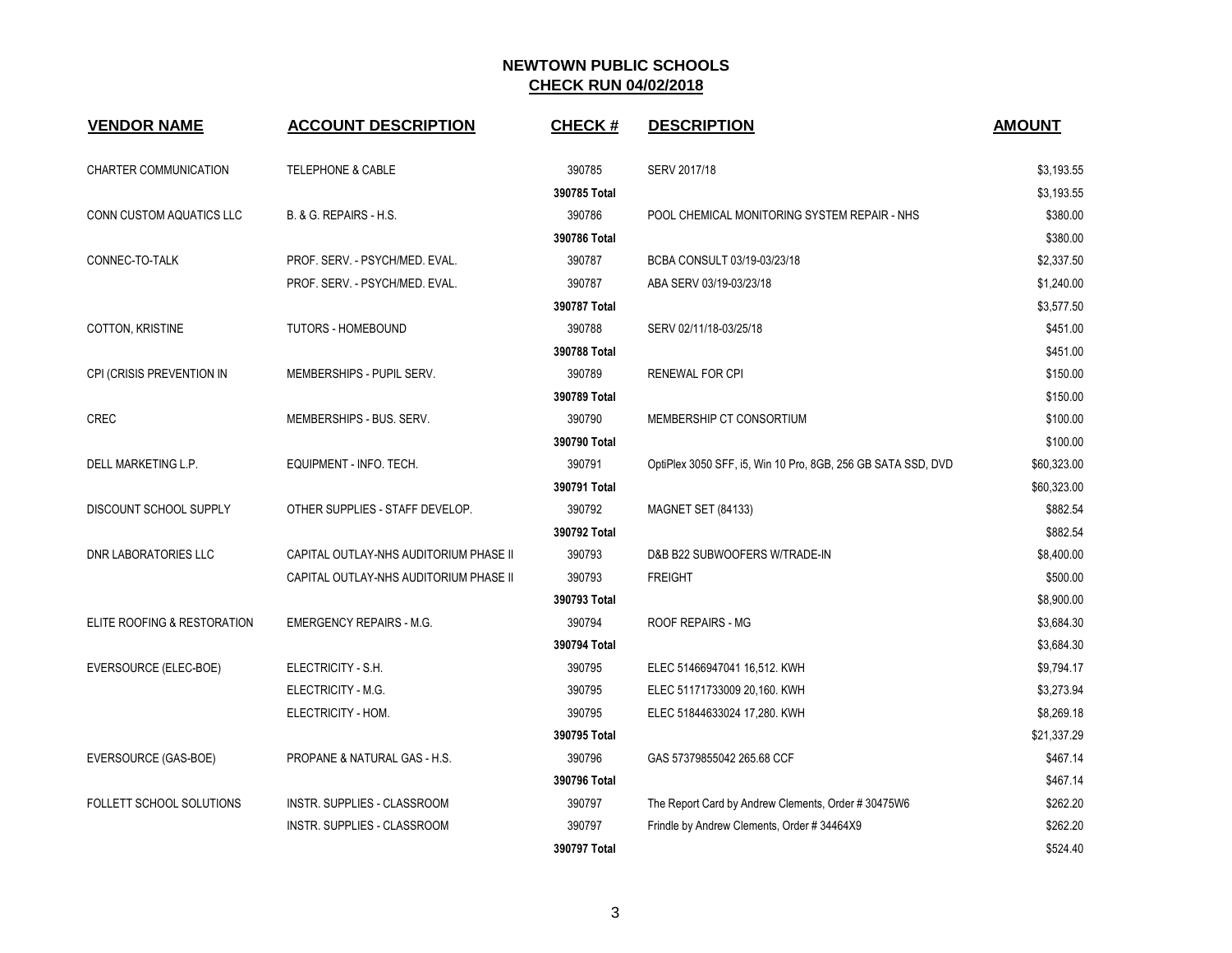| <b>VENDOR NAME</b>          | <b>ACCOUNT DESCRIPTION</b>             | <b>CHECK#</b> | <b>DESCRIPTION</b>                                           | <b>AMOUNT</b> |
|-----------------------------|----------------------------------------|---------------|--------------------------------------------------------------|---------------|
| CHARTER COMMUNICATION       | <b>TELEPHONE &amp; CABLE</b>           | 390785        | SERV 2017/18                                                 | \$3,193.55    |
|                             |                                        | 390785 Total  |                                                              | \$3,193.55    |
| CONN CUSTOM AQUATICS LLC    | B. & G. REPAIRS - H.S.                 | 390786        | POOL CHEMICAL MONITORING SYSTEM REPAIR - NHS                 | \$380.00      |
|                             |                                        | 390786 Total  |                                                              | \$380.00      |
| CONNEC-TO-TALK              | PROF. SERV. - PSYCH/MED. EVAL.         | 390787        | BCBA CONSULT 03/19-03/23/18                                  | \$2,337.50    |
|                             | PROF. SERV. - PSYCH/MED. EVAL.         | 390787        | ABA SERV 03/19-03/23/18                                      | \$1,240.00    |
|                             |                                        | 390787 Total  |                                                              | \$3,577.50    |
| <b>COTTON, KRISTINE</b>     | TUTORS - HOMEBOUND                     | 390788        | SERV 02/11/18-03/25/18                                       | \$451.00      |
|                             |                                        | 390788 Total  |                                                              | \$451.00      |
| CPI (CRISIS PREVENTION IN   | MEMBERSHIPS - PUPIL SERV.              | 390789        | <b>RENEWAL FOR CPI</b>                                       | \$150.00      |
|                             |                                        | 390789 Total  |                                                              | \$150.00      |
| <b>CREC</b>                 | MEMBERSHIPS - BUS. SERV.               | 390790        | MEMBERSHIP CT CONSORTIUM                                     | \$100.00      |
|                             |                                        | 390790 Total  |                                                              | \$100.00      |
| DELL MARKETING L.P.         | EQUIPMENT - INFO. TECH.                | 390791        | OptiPlex 3050 SFF, i5, Win 10 Pro, 8GB, 256 GB SATA SSD, DVD | \$60,323.00   |
|                             |                                        | 390791 Total  |                                                              | \$60,323.00   |
| DISCOUNT SCHOOL SUPPLY      | OTHER SUPPLIES - STAFF DEVELOP.        | 390792        | <b>MAGNET SET (84133)</b>                                    | \$882.54      |
|                             |                                        | 390792 Total  |                                                              | \$882.54      |
| DNR LABORATORIES LLC        | CAPITAL OUTLAY-NHS AUDITORIUM PHASE II | 390793        | D&B B22 SUBWOOFERS W/TRADE-IN                                | \$8,400.00    |
|                             | CAPITAL OUTLAY-NHS AUDITORIUM PHASE II | 390793        | <b>FREIGHT</b>                                               | \$500.00      |
|                             |                                        | 390793 Total  |                                                              | \$8,900.00    |
| ELITE ROOFING & RESTORATION | <b>EMERGENCY REPAIRS - M.G.</b>        | 390794        | <b>ROOF REPAIRS - MG</b>                                     | \$3,684.30    |
|                             |                                        | 390794 Total  |                                                              | \$3,684.30    |
| EVERSOURCE (ELEC-BOE)       | ELECTRICITY - S.H.                     | 390795        | ELEC 51466947041 16,512. KWH                                 | \$9,794.17    |
|                             | ELECTRICITY - M.G.                     | 390795        | ELEC 51171733009 20,160. KWH                                 | \$3,273.94    |
|                             | ELECTRICITY - HOM.                     | 390795        | ELEC 51844633024 17,280. KWH                                 | \$8,269.18    |
|                             |                                        | 390795 Total  |                                                              | \$21,337.29   |
| EVERSOURCE (GAS-BOE)        | PROPANE & NATURAL GAS - H.S.           | 390796        | GAS 57379855042 265.68 CCF                                   | \$467.14      |
|                             |                                        | 390796 Total  |                                                              | \$467.14      |
| FOLLETT SCHOOL SOLUTIONS    | INSTR. SUPPLIES - CLASSROOM            | 390797        | The Report Card by Andrew Clements, Order #30475W6           | \$262.20      |
|                             | INSTR. SUPPLIES - CLASSROOM            | 390797        | Frindle by Andrew Clements, Order #34464X9                   | \$262.20      |
|                             |                                        | 390797 Total  |                                                              | \$524.40      |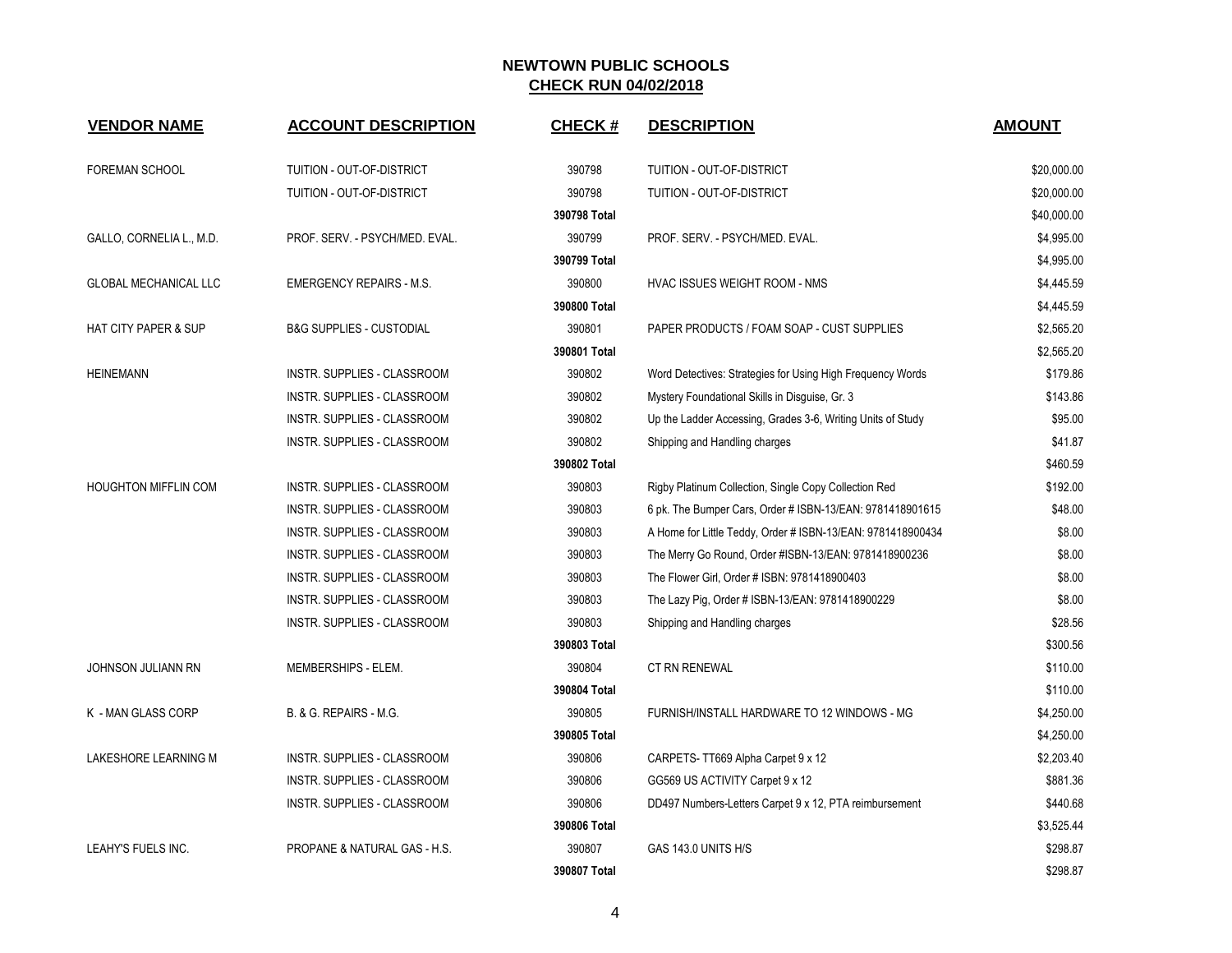| <b>VENDOR NAME</b>           | <b>ACCOUNT DESCRIPTION</b>          | <b>CHECK#</b> | <b>DESCRIPTION</b>                                          | <b>AMOUNT</b> |
|------------------------------|-------------------------------------|---------------|-------------------------------------------------------------|---------------|
|                              |                                     |               |                                                             |               |
| <b>FOREMAN SCHOOL</b>        | TUITION - OUT-OF-DISTRICT           | 390798        | TUITION - OUT-OF-DISTRICT                                   | \$20,000.00   |
|                              | TUITION - OUT-OF-DISTRICT           | 390798        | TUITION - OUT-OF-DISTRICT                                   | \$20,000.00   |
|                              |                                     | 390798 Total  |                                                             | \$40,000.00   |
| GALLO, CORNELIA L., M.D.     | PROF. SERV. - PSYCH/MED. EVAL.      | 390799        | PROF. SERV. - PSYCH/MED. EVAL.                              | \$4,995.00    |
|                              |                                     | 390799 Total  |                                                             | \$4,995.00    |
| <b>GLOBAL MECHANICAL LLC</b> | <b>EMERGENCY REPAIRS - M.S.</b>     | 390800        | HVAC ISSUES WEIGHT ROOM - NMS                               | \$4,445.59    |
|                              |                                     | 390800 Total  |                                                             | \$4,445.59    |
| HAT CITY PAPER & SUP         | <b>B&amp;G SUPPLIES - CUSTODIAL</b> | 390801        | PAPER PRODUCTS / FOAM SOAP - CUST SUPPLIES                  | \$2,565.20    |
|                              |                                     | 390801 Total  |                                                             | \$2,565.20    |
| <b>HEINEMANN</b>             | <b>INSTR. SUPPLIES - CLASSROOM</b>  | 390802        | Word Detectives: Strategies for Using High Frequency Words  | \$179.86      |
|                              | INSTR. SUPPLIES - CLASSROOM         | 390802        | Mystery Foundational Skills in Disguise, Gr. 3              | \$143.86      |
|                              | INSTR. SUPPLIES - CLASSROOM         | 390802        | Up the Ladder Accessing, Grades 3-6, Writing Units of Study | \$95.00       |
|                              | <b>INSTR. SUPPLIES - CLASSROOM</b>  | 390802        | Shipping and Handling charges                               | \$41.87       |
|                              |                                     | 390802 Total  |                                                             | \$460.59      |
| <b>HOUGHTON MIFFLIN COM</b>  | INSTR. SUPPLIES - CLASSROOM         | 390803        | Rigby Platinum Collection, Single Copy Collection Red       | \$192.00      |
|                              | INSTR. SUPPLIES - CLASSROOM         | 390803        | 6 pk. The Bumper Cars, Order # ISBN-13/EAN: 9781418901615   | \$48.00       |
|                              | INSTR. SUPPLIES - CLASSROOM         | 390803        | A Home for Little Teddy, Order # ISBN-13/EAN: 9781418900434 | \$8.00        |
|                              | INSTR. SUPPLIES - CLASSROOM         | 390803        | The Merry Go Round, Order #ISBN-13/EAN: 9781418900236       | \$8.00        |
|                              | INSTR. SUPPLIES - CLASSROOM         | 390803        | The Flower Girl, Order # ISBN: 9781418900403                | \$8.00        |
|                              | INSTR. SUPPLIES - CLASSROOM         | 390803        | The Lazy Pig, Order # ISBN-13/EAN: 9781418900229            | \$8.00        |
|                              | INSTR. SUPPLIES - CLASSROOM         | 390803        | Shipping and Handling charges                               | \$28.56       |
|                              |                                     | 390803 Total  |                                                             | \$300.56      |
| JOHNSON JULIANN RN           | MEMBERSHIPS - ELEM.                 | 390804        | CT RN RENEWAL                                               | \$110.00      |
|                              |                                     | 390804 Total  |                                                             | \$110.00      |
| K - MAN GLASS CORP           | B. & G. REPAIRS - M.G.              | 390805        | FURNISH/INSTALL HARDWARE TO 12 WINDOWS - MG                 | \$4,250.00    |
|                              |                                     | 390805 Total  |                                                             | \$4,250.00    |
| LAKESHORE LEARNING M         | INSTR. SUPPLIES - CLASSROOM         | 390806        | CARPETS-TT669 Alpha Carpet 9 x 12                           | \$2,203.40    |
|                              | INSTR. SUPPLIES - CLASSROOM         | 390806        | GG569 US ACTIVITY Carpet 9 x 12                             | \$881.36      |
|                              | INSTR. SUPPLIES - CLASSROOM         | 390806        | DD497 Numbers-Letters Carpet 9 x 12, PTA reimbursement      | \$440.68      |
|                              |                                     | 390806 Total  |                                                             | \$3,525.44    |
| LEAHY'S FUELS INC.           | PROPANE & NATURAL GAS - H.S.        | 390807        | GAS 143.0 UNITS H/S                                         | \$298.87      |
|                              |                                     | 390807 Total  |                                                             | \$298.87      |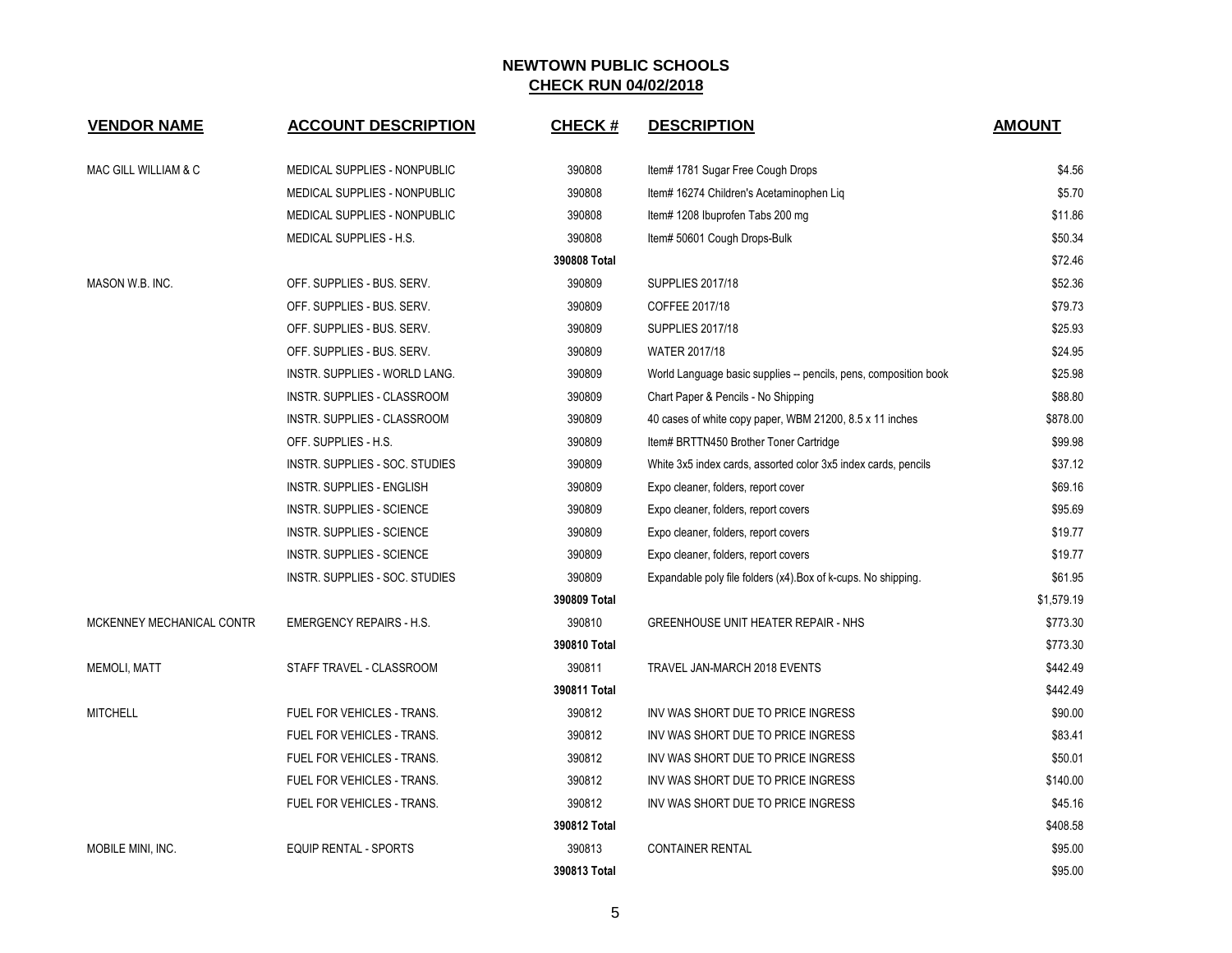| <b>VENDOR NAME</b>        | <b>ACCOUNT DESCRIPTION</b>       | <b>CHECK#</b> | <b>DESCRIPTION</b>                                               | <b>AMOUNT</b> |
|---------------------------|----------------------------------|---------------|------------------------------------------------------------------|---------------|
| MAC GILL WILLIAM & C      | MEDICAL SUPPLIES - NONPUBLIC     | 390808        | Item# 1781 Sugar Free Cough Drops                                | \$4.56        |
|                           | MEDICAL SUPPLIES - NONPUBLIC     | 390808        | Item# 16274 Children's Acetaminophen Liq                         | \$5.70        |
|                           | MEDICAL SUPPLIES - NONPUBLIC     | 390808        | Item# 1208 Ibuprofen Tabs 200 mg                                 | \$11.86       |
|                           | MEDICAL SUPPLIES - H.S.          | 390808        | Item# 50601 Cough Drops-Bulk                                     | \$50.34       |
|                           |                                  | 390808 Total  |                                                                  | \$72.46       |
| MASON W.B. INC.           | OFF. SUPPLIES - BUS. SERV.       | 390809        | <b>SUPPLIES 2017/18</b>                                          | \$52.36       |
|                           | OFF. SUPPLIES - BUS. SERV.       | 390809        | COFFEE 2017/18                                                   | \$79.73       |
|                           | OFF. SUPPLIES - BUS. SERV.       | 390809        | <b>SUPPLIES 2017/18</b>                                          | \$25.93       |
|                           | OFF. SUPPLIES - BUS. SERV.       | 390809        | WATER 2017/18                                                    | \$24.95       |
|                           | INSTR. SUPPLIES - WORLD LANG.    | 390809        | World Language basic supplies -- pencils, pens, composition book | \$25.98       |
|                           | INSTR. SUPPLIES - CLASSROOM      | 390809        | Chart Paper & Pencils - No Shipping                              | \$88.80       |
|                           | INSTR. SUPPLIES - CLASSROOM      | 390809        | 40 cases of white copy paper, WBM 21200, 8.5 x 11 inches         | \$878.00      |
|                           | OFF. SUPPLIES - H.S.             | 390809        | Item# BRTTN450 Brother Toner Cartridge                           | \$99.98       |
|                           | INSTR. SUPPLIES - SOC. STUDIES   | 390809        | White 3x5 index cards, assorted color 3x5 index cards, pencils   | \$37.12       |
|                           | INSTR. SUPPLIES - ENGLISH        | 390809        | Expo cleaner, folders, report cover                              | \$69.16       |
|                           | INSTR. SUPPLIES - SCIENCE        | 390809        | Expo cleaner, folders, report covers                             | \$95.69       |
|                           | <b>INSTR. SUPPLIES - SCIENCE</b> | 390809        | Expo cleaner, folders, report covers                             | \$19.77       |
|                           | INSTR. SUPPLIES - SCIENCE        | 390809        | Expo cleaner, folders, report covers                             | \$19.77       |
|                           | INSTR. SUPPLIES - SOC. STUDIES   | 390809        | Expandable poly file folders (x4). Box of k-cups. No shipping.   | \$61.95       |
|                           |                                  | 390809 Total  |                                                                  | \$1,579.19    |
| MCKENNEY MECHANICAL CONTR | <b>EMERGENCY REPAIRS - H.S.</b>  | 390810        | <b>GREENHOUSE UNIT HEATER REPAIR - NHS</b>                       | \$773.30      |
|                           |                                  | 390810 Total  |                                                                  | \$773.30      |
| <b>MEMOLI, MATT</b>       | STAFF TRAVEL - CLASSROOM         | 390811        | TRAVEL JAN-MARCH 2018 EVENTS                                     | \$442.49      |
|                           |                                  | 390811 Total  |                                                                  | \$442.49      |
| <b>MITCHELL</b>           | FUEL FOR VEHICLES - TRANS.       | 390812        | INV WAS SHORT DUE TO PRICE INGRESS                               | \$90.00       |
|                           | FUEL FOR VEHICLES - TRANS.       | 390812        | INV WAS SHORT DUE TO PRICE INGRESS                               | \$83.41       |
|                           | FUEL FOR VEHICLES - TRANS.       | 390812        | INV WAS SHORT DUE TO PRICE INGRESS                               | \$50.01       |
|                           | FUEL FOR VEHICLES - TRANS.       | 390812        | INV WAS SHORT DUE TO PRICE INGRESS                               | \$140.00      |
|                           | FUEL FOR VEHICLES - TRANS.       | 390812        | INV WAS SHORT DUE TO PRICE INGRESS                               | \$45.16       |
|                           |                                  | 390812 Total  |                                                                  | \$408.58      |
| MOBILE MINI, INC.         | <b>EQUIP RENTAL - SPORTS</b>     | 390813        | <b>CONTAINER RENTAL</b>                                          | \$95.00       |
|                           |                                  | 390813 Total  |                                                                  | \$95.00       |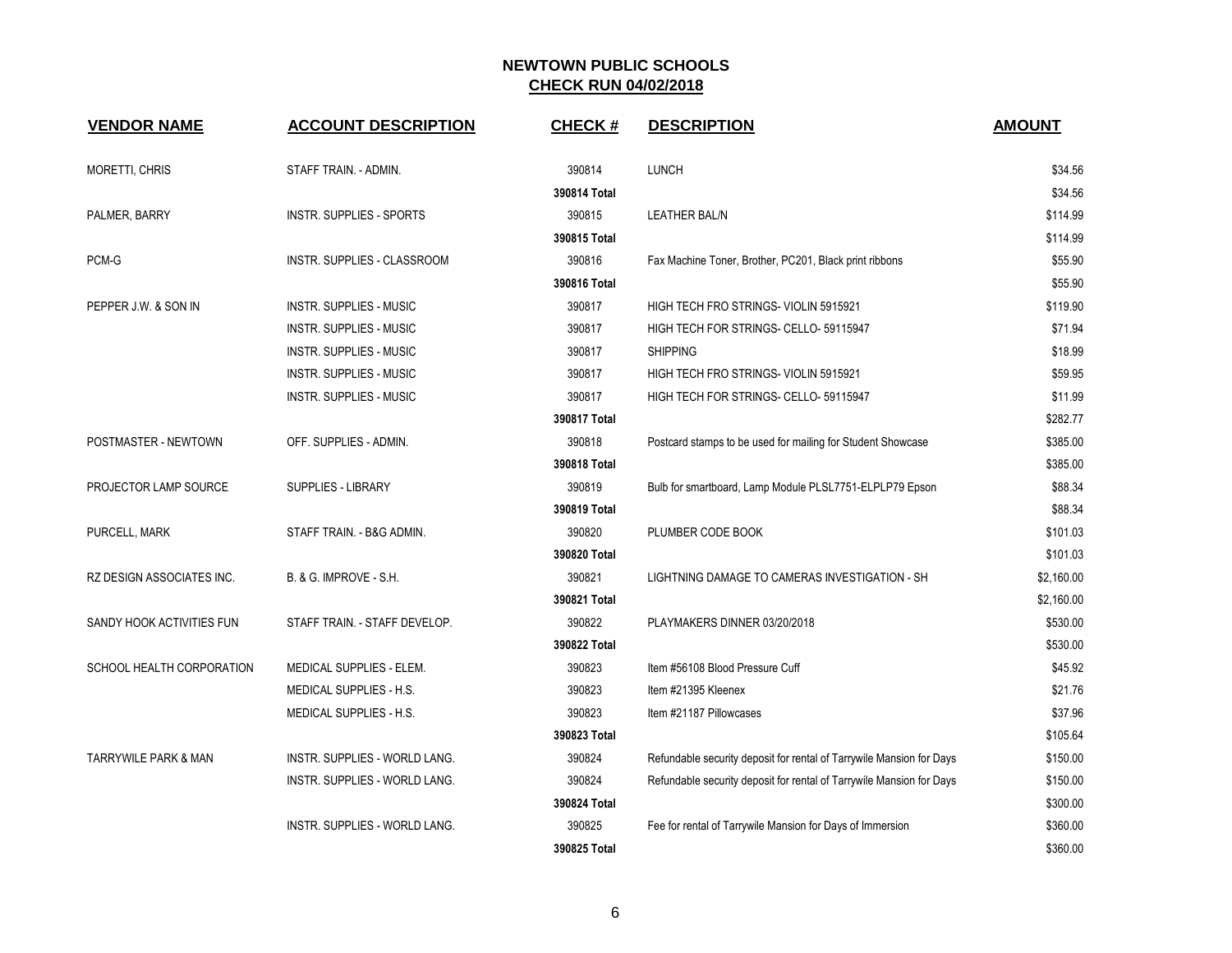| <b>VENDOR NAME</b>              | <b>ACCOUNT DESCRIPTION</b>      | <b>CHECK#</b> | <b>DESCRIPTION</b>                                                   | <b>AMOUNT</b> |
|---------------------------------|---------------------------------|---------------|----------------------------------------------------------------------|---------------|
| <b>MORETTI, CHRIS</b>           | STAFF TRAIN. - ADMIN.           | 390814        | <b>LUNCH</b>                                                         | \$34.56       |
|                                 |                                 | 390814 Total  |                                                                      | \$34.56       |
| PALMER, BARRY                   | <b>INSTR. SUPPLIES - SPORTS</b> | 390815        | <b>LEATHER BAL/N</b>                                                 | \$114.99      |
|                                 |                                 | 390815 Total  |                                                                      | \$114.99      |
| PCM-G                           | INSTR. SUPPLIES - CLASSROOM     | 390816        | Fax Machine Toner, Brother, PC201, Black print ribbons               | \$55.90       |
|                                 |                                 | 390816 Total  |                                                                      | \$55.90       |
| PEPPER J.W. & SON IN            | <b>INSTR. SUPPLIES - MUSIC</b>  | 390817        | HIGH TECH FRO STRINGS- VIOLIN 5915921                                | \$119.90      |
|                                 | <b>INSTR. SUPPLIES - MUSIC</b>  | 390817        | HIGH TECH FOR STRINGS- CELLO- 59115947                               | \$71.94       |
|                                 | INSTR. SUPPLIES - MUSIC         | 390817        | <b>SHIPPING</b>                                                      | \$18.99       |
|                                 | <b>INSTR. SUPPLIES - MUSIC</b>  | 390817        | HIGH TECH FRO STRINGS- VIOLIN 5915921                                | \$59.95       |
|                                 | INSTR. SUPPLIES - MUSIC         | 390817        | HIGH TECH FOR STRINGS- CELLO- 59115947                               | \$11.99       |
|                                 |                                 | 390817 Total  |                                                                      | \$282.77      |
| POSTMASTER - NEWTOWN            | OFF. SUPPLIES - ADMIN.          | 390818        | Postcard stamps to be used for mailing for Student Showcase          | \$385.00      |
|                                 |                                 | 390818 Total  |                                                                      | \$385.00      |
| PROJECTOR LAMP SOURCE           | <b>SUPPLIES - LIBRARY</b>       | 390819        | Bulb for smartboard, Lamp Module PLSL7751-ELPLP79 Epson              | \$88.34       |
|                                 |                                 | 390819 Total  |                                                                      | \$88.34       |
| PURCELL, MARK                   | STAFF TRAIN. - B&G ADMIN.       | 390820        | PLUMBER CODE BOOK                                                    | \$101.03      |
|                                 |                                 | 390820 Total  |                                                                      | \$101.03      |
| RZ DESIGN ASSOCIATES INC.       | B. & G. IMPROVE - S.H.          | 390821        | LIGHTNING DAMAGE TO CAMERAS INVESTIGATION - SH                       | \$2,160.00    |
|                                 |                                 | 390821 Total  |                                                                      | \$2,160.00    |
| SANDY HOOK ACTIVITIES FUN       | STAFF TRAIN. - STAFF DEVELOP.   | 390822        | PLAYMAKERS DINNER 03/20/2018                                         | \$530.00      |
|                                 |                                 | 390822 Total  |                                                                      | \$530.00      |
| SCHOOL HEALTH CORPORATION       | MEDICAL SUPPLIES - ELEM.        | 390823        | Item #56108 Blood Pressure Cuff                                      | \$45.92       |
|                                 | MEDICAL SUPPLIES - H.S.         | 390823        | Item #21395 Kleenex                                                  | \$21.76       |
|                                 | MEDICAL SUPPLIES - H.S.         | 390823        | Item #21187 Pillowcases                                              | \$37.96       |
|                                 |                                 | 390823 Total  |                                                                      | \$105.64      |
| <b>TARRYWILE PARK &amp; MAN</b> | INSTR. SUPPLIES - WORLD LANG.   | 390824        | Refundable security deposit for rental of Tarrywile Mansion for Days | \$150.00      |
|                                 | INSTR. SUPPLIES - WORLD LANG.   | 390824        | Refundable security deposit for rental of Tarrywile Mansion for Days | \$150.00      |
|                                 |                                 | 390824 Total  |                                                                      | \$300.00      |
|                                 | INSTR. SUPPLIES - WORLD LANG.   | 390825        | Fee for rental of Tarrywile Mansion for Days of Immersion            | \$360.00      |
|                                 |                                 | 390825 Total  |                                                                      | \$360.00      |